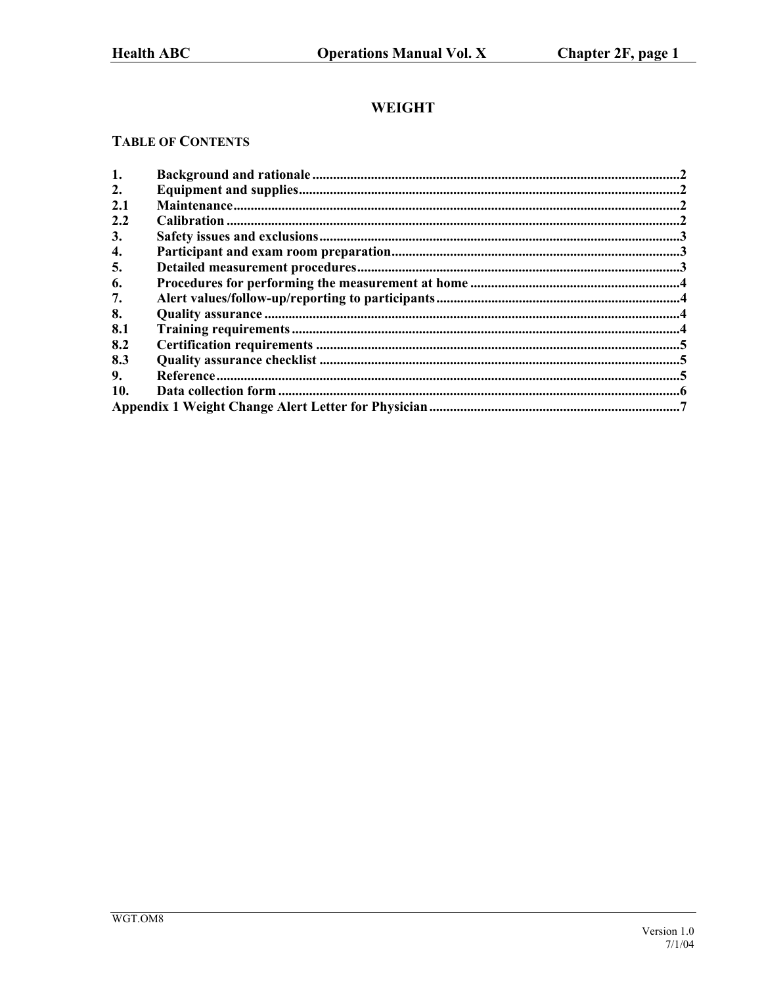# **WEIGHT**

# **TABLE OF CONTENTS**

| 1.  |  |  |  |  |  |
|-----|--|--|--|--|--|
| 2.  |  |  |  |  |  |
| 2.1 |  |  |  |  |  |
| 2.2 |  |  |  |  |  |
| 3.  |  |  |  |  |  |
| 4.  |  |  |  |  |  |
| 5.  |  |  |  |  |  |
| 6.  |  |  |  |  |  |
| 7.  |  |  |  |  |  |
| 8.  |  |  |  |  |  |
| 8.1 |  |  |  |  |  |
| 8.2 |  |  |  |  |  |
| 8.3 |  |  |  |  |  |
| 9.  |  |  |  |  |  |
| 10. |  |  |  |  |  |
|     |  |  |  |  |  |
|     |  |  |  |  |  |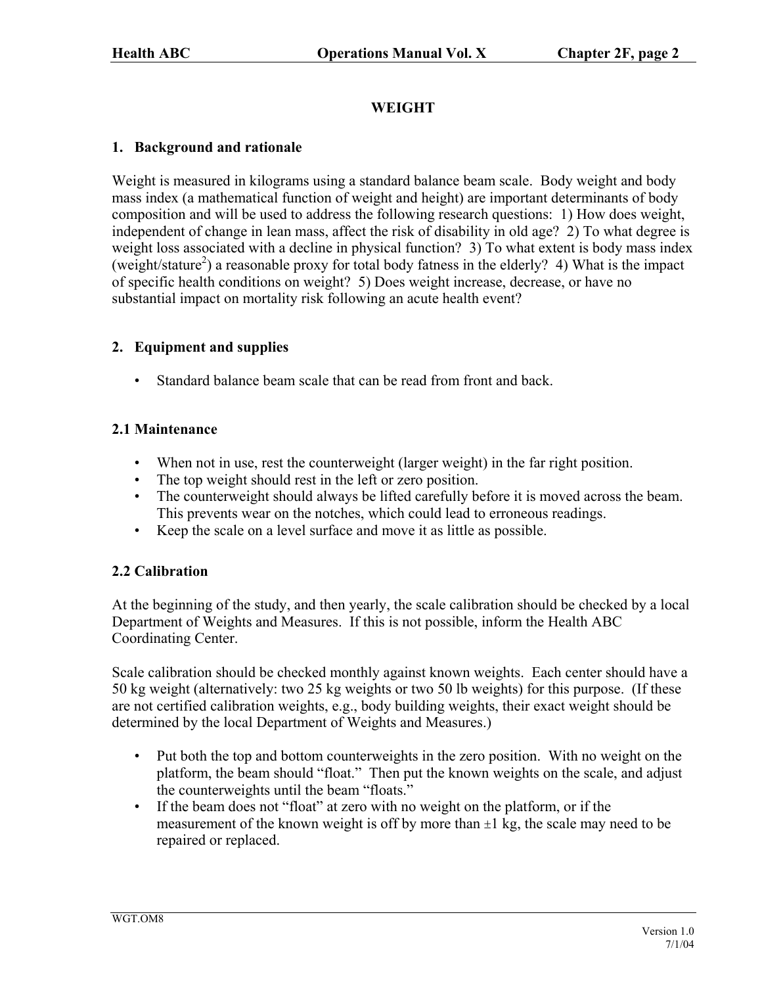# **WEIGHT**

### <span id="page-1-0"></span>**1. Background and rationale**

Weight is measured in kilograms using a standard balance beam scale. Body weight and body mass index (a mathematical function of weight and height) are important determinants of body composition and will be used to address the following research questions: 1) How does weight, independent of change in lean mass, affect the risk of disability in old age? 2) To what degree is weight loss associated with a decline in physical function? 3) To what extent is body mass index (weight/stature<sup>2</sup>) a reasonable proxy for total body fatness in the elderly? 4) What is the impact of specific health conditions on weight? 5) Does weight increase, decrease, or have no substantial impact on mortality risk following an acute health event?

## **2. Equipment and supplies**

• Standard balance beam scale that can be read from front and back.

## **2.1 Maintenance**

- When not in use, rest the counterweight (larger weight) in the far right position.
- The top weight should rest in the left or zero position.
- The counterweight should always be lifted carefully before it is moved across the beam. This prevents wear on the notches, which could lead to erroneous readings.
- Keep the scale on a level surface and move it as little as possible.

### **2.2 Calibration**

At the beginning of the study, and then yearly, the scale calibration should be checked by a local Department of Weights and Measures. If this is not possible, inform the Health ABC Coordinating Center.

Scale calibration should be checked monthly against known weights. Each center should have a 50 kg weight (alternatively: two 25 kg weights or two 50 lb weights) for this purpose. (If these are not certified calibration weights, e.g., body building weights, their exact weight should be determined by the local Department of Weights and Measures.)

- Put both the top and bottom counterweights in the zero position. With no weight on the platform, the beam should "float." Then put the known weights on the scale, and adjust the counterweights until the beam "floats."
- If the beam does not "float" at zero with no weight on the platform, or if the measurement of the known weight is off by more than  $\pm 1$  kg, the scale may need to be repaired or replaced.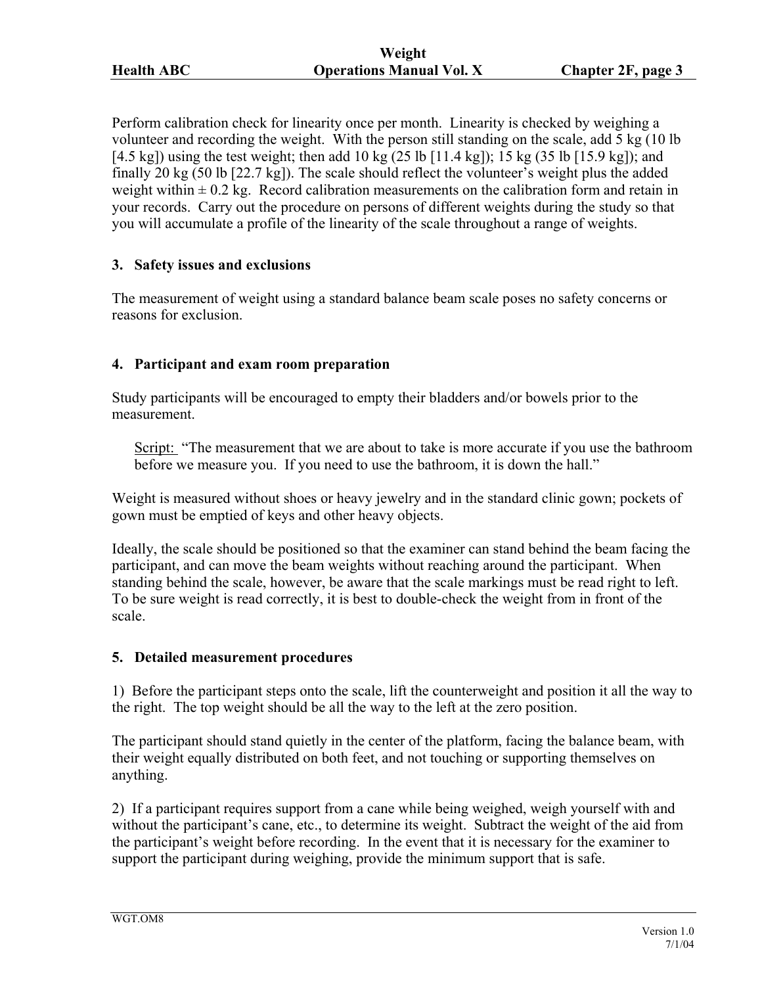<span id="page-2-0"></span>Perform calibration check for linearity once per month. Linearity is checked by weighing a volunteer and recording the weight. With the person still standing on the scale, add 5 kg (10 lb [4.5 kg]) using the test weight; then add 10 kg (25 lb [11.4 kg]); 15 kg (35 lb [15.9 kg]); and finally 20 kg (50 lb [22.7 kg]). The scale should reflect the volunteer's weight plus the added weight within  $\pm$  0.2 kg. Record calibration measurements on the calibration form and retain in your records. Carry out the procedure on persons of different weights during the study so that you will accumulate a profile of the linearity of the scale throughout a range of weights.

### **3. Safety issues and exclusions**

The measurement of weight using a standard balance beam scale poses no safety concerns or reasons for exclusion.

### **4. Participant and exam room preparation**

Study participants will be encouraged to empty their bladders and/or bowels prior to the measurement.

Script: "The measurement that we are about to take is more accurate if you use the bathroom before we measure you. If you need to use the bathroom, it is down the hall."

Weight is measured without shoes or heavy jewelry and in the standard clinic gown; pockets of gown must be emptied of keys and other heavy objects.

Ideally, the scale should be positioned so that the examiner can stand behind the beam facing the participant, and can move the beam weights without reaching around the participant. When standing behind the scale, however, be aware that the scale markings must be read right to left. To be sure weight is read correctly, it is best to double-check the weight from in front of the scale.

### **5. Detailed measurement procedures**

1) Before the participant steps onto the scale, lift the counterweight and position it all the way to the right. The top weight should be all the way to the left at the zero position.

The participant should stand quietly in the center of the platform, facing the balance beam, with their weight equally distributed on both feet, and not touching or supporting themselves on anything.

2) If a participant requires support from a cane while being weighed, weigh yourself with and without the participant's cane, etc., to determine its weight. Subtract the weight of the aid from the participant's weight before recording. In the event that it is necessary for the examiner to support the participant during weighing, provide the minimum support that is safe.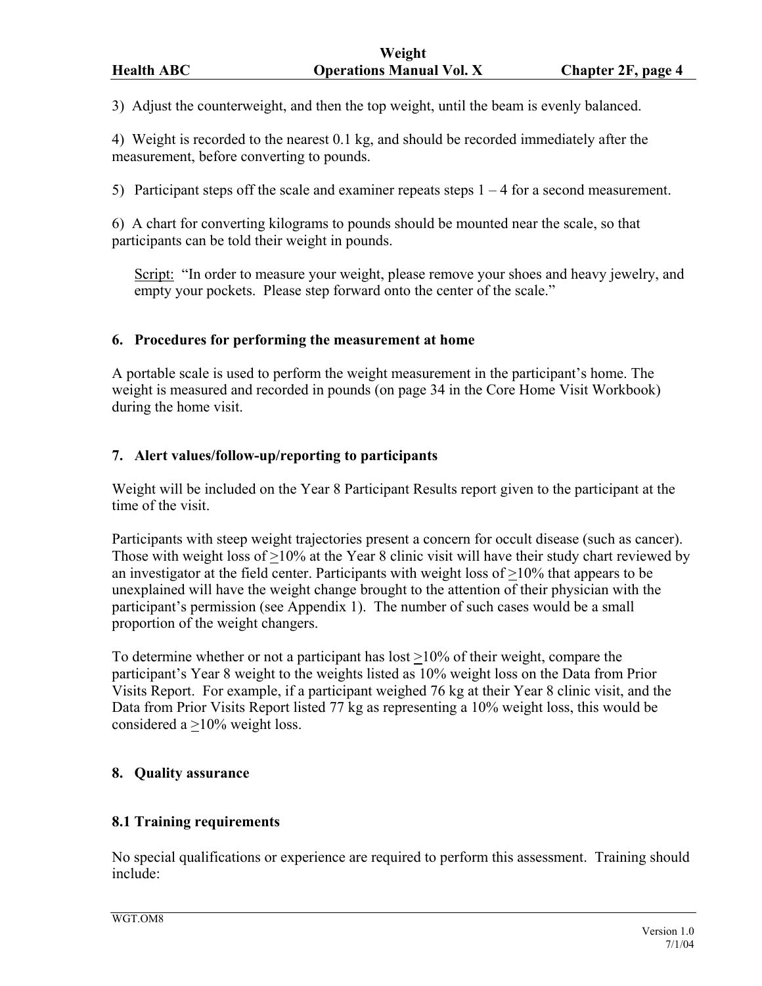<span id="page-3-0"></span>3) Adjust the counterweight, and then the top weight, until the beam is evenly balanced.

4) Weight is recorded to the nearest 0.1 kg, and should be recorded immediately after the measurement, before converting to pounds.

5) Participant steps off the scale and examiner repeats steps 1 – 4 for a second measurement.

6) A chart for converting kilograms to pounds should be mounted near the scale, so that participants can be told their weight in pounds.

Script: "In order to measure your weight, please remove your shoes and heavy jewelry, and empty your pockets. Please step forward onto the center of the scale."

#### **6. Procedures for performing the measurement at home**

A portable scale is used to perform the weight measurement in the participant's home. The weight is measured and recorded in pounds (on page 34 in the Core Home Visit Workbook) during the home visit.

### **7. Alert values/follow-up/reporting to participants**

Weight will be included on the Year 8 Participant Results report given to the participant at the time of the visit.

Participants with steep weight trajectories present a concern for occult disease (such as cancer). Those with weight loss of >10% at the Year 8 clinic visit will have their study chart reviewed by an investigator at the field center. Participants with weight loss of  $>10\%$  that appears to be unexplained will have the weight change brought to the attention of their physician with the participant's permission (see Appendix 1). The number of such cases would be a small proportion of the weight changers.

To determine whether or not a participant has lost  $\geq$ 10% of their weight, compare the participant's Year 8 weight to the weights listed as 10% weight loss on the Data from Prior Visits Report. For example, if a participant weighed 76 kg at their Year 8 clinic visit, and the Data from Prior Visits Report listed 77 kg as representing a 10% weight loss, this would be considered a >10% weight loss.

### **8. Quality assurance**

#### **8.1 Training requirements**

No special qualifications or experience are required to perform this assessment. Training should include: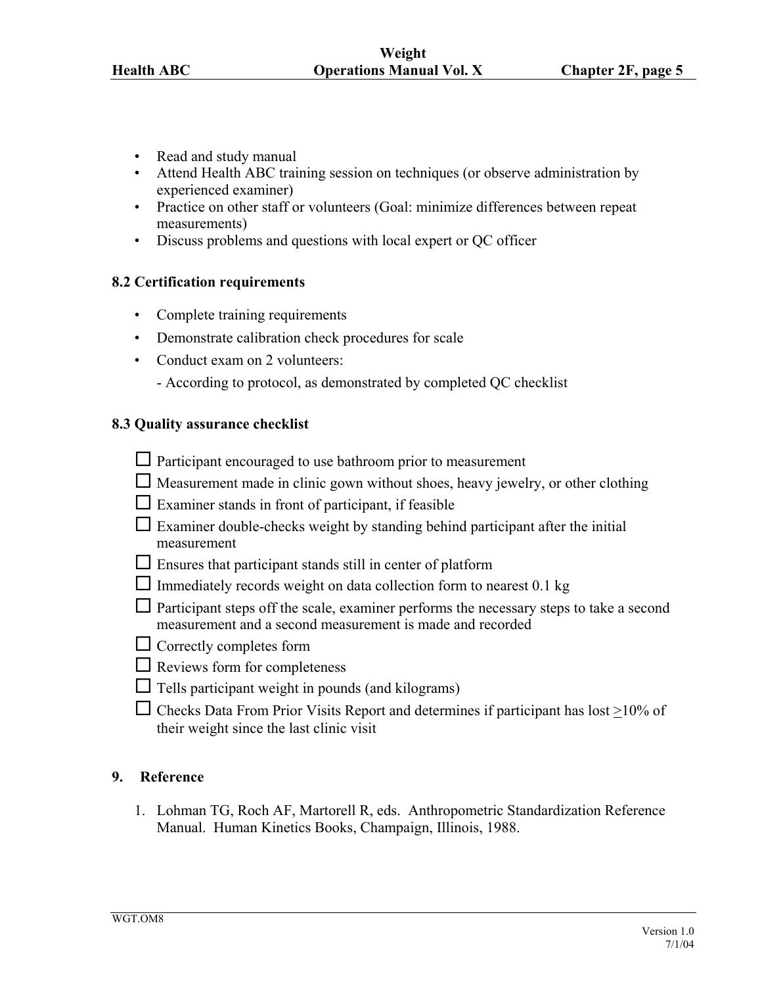- <span id="page-4-0"></span>• Read and study manual
- Attend Health ABC training session on techniques (or observe administration by experienced examiner)
- Practice on other staff or volunteers (Goal: minimize differences between repeat measurements)
- Discuss problems and questions with local expert or QC officer

#### **8.2 Certification requirements**

- Complete training requirements
- Demonstrate calibration check procedures for scale
- Conduct exam on 2 volunteers:
	- According to protocol, as demonstrated by completed QC checklist

#### **8.3 Quality assurance checklist**

- Participant encouraged to use bathroom prior to measurement
- $\Box$  Measurement made in clinic gown without shoes, heavy jewelry, or other clothing
- $\Box$  Examiner stands in front of participant, if feasible
- $\Box$  Examiner double-checks weight by standing behind participant after the initial measurement
- $\Box$  Ensures that participant stands still in center of platform
- $\Box$  Immediately records weight on data collection form to nearest 0.1 kg
- $\Box$  Participant steps off the scale, examiner performs the necessary steps to take a second measurement and a second measurement is made and recorded
- $\Box$  Correctly completes form
- $\Box$  Reviews form for completeness
- $\Box$  Tells participant weight in pounds (and kilograms)
- $\Box$  Checks Data From Prior Visits Report and determines if participant has lost  $\geq$ 10% of their weight since the last clinic visit

#### **9. Reference**

1. Lohman TG, Roch AF, Martorell R, eds. Anthropometric Standardization Reference Manual. Human Kinetics Books, Champaign, Illinois, 1988.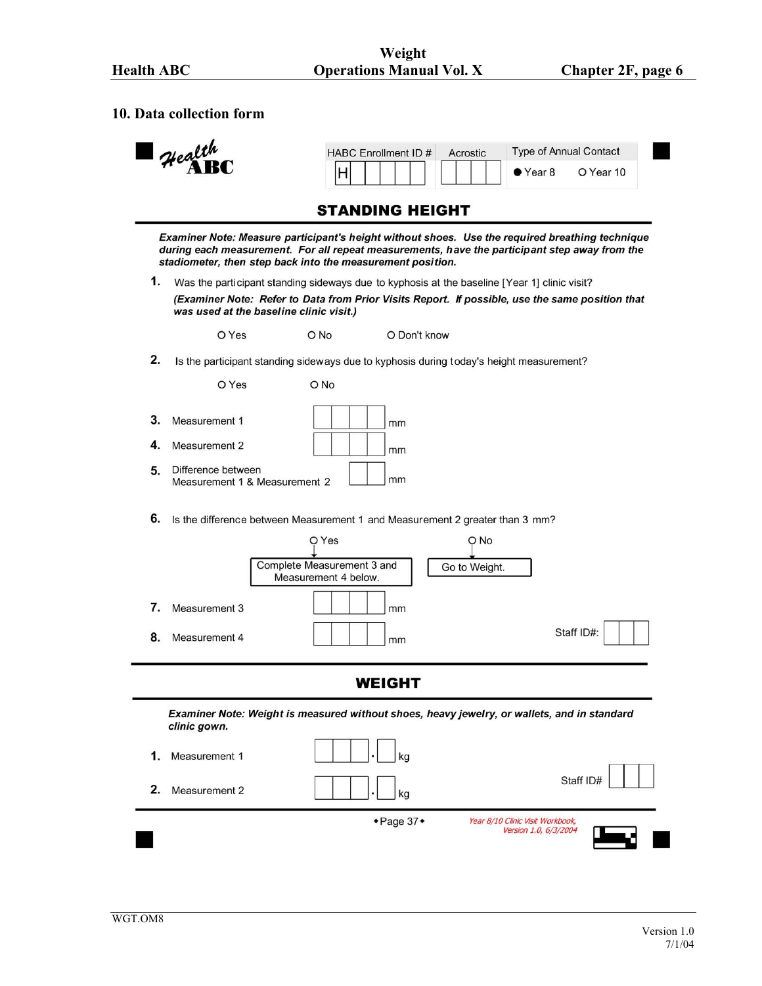#### <span id="page-5-0"></span>**10. Data collection form**



### **STANDING HEIGHT**

Examiner Note: Measure participant's height without shoes. Use the required breathing technique during each measurement. For all repeat measurements, have the participant step away from the stadiometer, then step back into the measurement position.

1. Was the participant standing sideways due to kyphosis at the baseline [Year 1] clinic visit? (Examiner Note: Refer to Data from Prior Visits Report. If possible, use the same position that was used at the baseline clinic visit.)

> O Yes O No O Don't know

 $2.$ Is the participant standing sideways due to kyphosis during today's height measurement?

O Yes O No  $3.$ Measurement 1 mm 4. Measurement 2 mm 5. Difference between Measurement 1 & Measurement 2 mm

6. Is the difference between Measurement 1 and Measurement 2 greater than 3 mm?

|    |               | O Yes                                              | O No          |            |
|----|---------------|----------------------------------------------------|---------------|------------|
|    |               | Complete Measurement 3 and<br>Measurement 4 below. | Go to Weight. |            |
|    | Measurement 3 | mm                                                 |               |            |
| 8. | Measurement 4 | mm                                                 |               | Staff ID#: |

**WEIGHT** 

 $\overline{\phantom{0}}$ 

Examiner Note: Weight is measured without shoes, heavy jewelry, or wallets, and in standard clinic gown.

|                     | ◆ Page 37◆           | Year 8/10 Clinic Visit Workbook,<br>Version 1.0, 6/3/2004 |
|---------------------|----------------------|-----------------------------------------------------------|
| 2.<br>Measurement 2 | kg<br>$\blacksquare$ | Staff ID#                                                 |
| 1.<br>Measurement 1 | kg<br>$\cdot$        |                                                           |